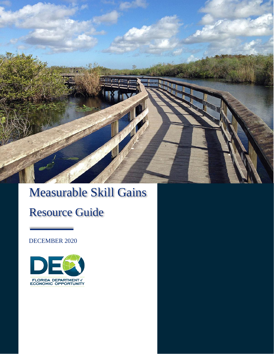

# Measurable Skill Gains

# Resource Guide

DECEMBER 2020

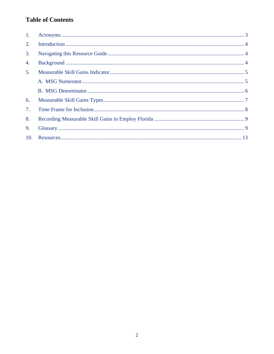# **Table of Contents**

| 1. |  |
|----|--|
| 2. |  |
| 3. |  |
| 4. |  |
| 5. |  |
|    |  |
|    |  |
| 6. |  |
| 7. |  |
| 8. |  |
| 9. |  |
|    |  |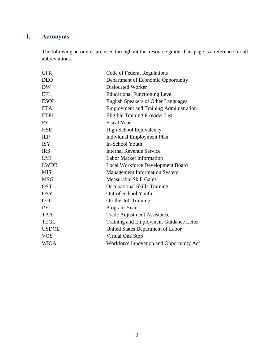# <span id="page-2-0"></span>**1. Acronyms**

The following acronyms are used throughout this resource guide. This page is a reference for all abbreviations.

| <b>CFR</b>   | Code of Federal Regulations                   |
|--------------|-----------------------------------------------|
| <b>DEO</b>   | Department of Economic Opportunity            |
| <b>DW</b>    | <b>Dislocated Worker</b>                      |
| <b>EFL</b>   | <b>Educational Functioning Level</b>          |
| <b>ESOL</b>  | <b>English Speakers of Other Languages</b>    |
| <b>ETA</b>   | <b>Employment and Training Administration</b> |
| <b>ETPL</b>  | Eligible Training Provider List               |
| <b>FY</b>    | <b>Fiscal Year</b>                            |
| <b>HSE</b>   | <b>High School Equivalency</b>                |
| <b>IEP</b>   | <b>Individual Employment Plan</b>             |
| <b>ISY</b>   | In-School Youth                               |
| <b>IRS</b>   | <b>Internal Revenue Service</b>               |
| LMI          | <b>Labor Market Information</b>               |
| <b>LWDB</b>  | <b>Local Workforce Development Board</b>      |
| <b>MIS</b>   | <b>Management Information System</b>          |
| <b>MSG</b>   | <b>Measurable Skill Gains</b>                 |
| <b>OST</b>   | <b>Occupational Skills Training</b>           |
| <b>OSY</b>   | Out-of-School Youth                           |
| <b>OJT</b>   | On-the-Job Training                           |
| <b>PY</b>    | Program Year                                  |
| <b>TAA</b>   | <b>Trade Adjustment Assistance</b>            |
| <b>TEGL</b>  | Training and Employment Guidance Letter       |
| <b>USDOL</b> | United States Department of Labor             |
| <b>VOS</b>   | Virtual One Stop                              |
| <b>WIOA</b>  | Workforce Innovation and Opportunity Act      |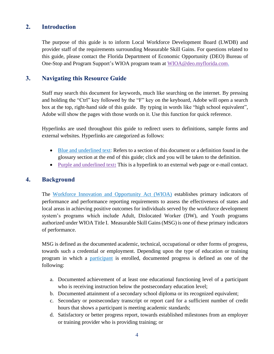### <span id="page-3-0"></span>**2. Introduction**

The purpose of this guide is to inform Local Workforce Development Board (LWDB) and provider staff of the requirements surrounding Measurable Skill Gains. For questions related to this guide, please contact the Florida Department of Economic Opportunity (DEO) Bureau of One-Stop and Program Support's WIOA program team at [WIOA@deo.myflorida.com.](mailto:WIOA@deo.myflorida.com)

### <span id="page-3-1"></span>**3. Navigating this Resource Guide**

Staff may search this document for keywords, much like searching on the internet. By pressing and holding the "Ctrl" key followed by the "F" key on the keyboard, Adobe will open a search box at the top, right-hand side of this guide. By typing in words like "high school equivalent", Adobe will show the pages with those words on it. Use this function for quick reference.

Hyperlinks are used throughout this guide to redirect users to definitions, sample forms and external websites. Hyperlinks are categorized as follows:

- Blue and underlined text: Refers to a section of this document or a definition found in the glossary section at the end of this guide; click and you will be taken to the definition.
- Purple [and underlined text](http://www.floridajobs.org/office-directory/division-of-workforce-services/workforce-programs/trade-program)**:** This is a hyperlink to an external web page or e-mail contact.

#### <span id="page-3-2"></span>**4. Background**

The [Workforce Innovation and Opportunity Act \(WIOA\)](#page-12-1) establishes primary indicators of performance and performance reporting requirements to assess the effectiveness of states and local areas in achieving positive outcomes for individuals served by the workforce development system's programs which include Adult, Dislocated Worker (DW), and Youth programs authorized under WIOA Title I. Measurable Skill Gains(MSG) is one of these primary indicators of performance.

MSG is defined as the documented academic, technical, occupational or other forms of progress, towards such a credential or employment. Depending upon the type of education or training program in which a [participant](#page-11-0) is enrolled, documented progress is defined as one of the following:

- a. Documented achievement of at least one educational functioning level of a participant who is receiving instruction below the postsecondary education level;
- b. Documented attainment of a secondary school diploma or its recognized equivalent;
- c. Secondary or postsecondary transcript or report card for a sufficient number of credit hours that shows a participant is meeting academic standards;
- d. Satisfactory or better progress report, towards established milestones from an employer or training provider who is providing training; or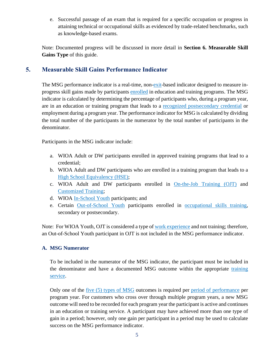e. Successful passage of an exam that is required for a specific occupation or progress in attaining technical or occupational skills as evidenced by trade-related benchmarks, such as knowledge-based exams.

Note: Documented progress will be discussed in more detail in **Section 6. Measurable Skill Gains Type** of this guide.

# <span id="page-4-0"></span>**5. Measurable Skill Gains Performance Indicator**

The MSG performance indicator is a real-time, non[-exit-](#page-9-0)based indicator designed to measure inprogress skill gains made by participants [enrolled](#page-9-1) in education and training programs. The MSG indicator is calculated by determining the percentage of participants who, during a program year, are in an education or training program that leads to a [recognized postsecondary credential](#page-11-1) or employment during a program year. The performance indicator for MSG is calculated by dividing the total number of the participants in the numerator by the total number of participants in the denominator.

Participants in the MSG indicator include:

- a. WIOA Adult or DW participants enrolled in approved training programs that lead to a credential;
- b. WIOA Adult and DW participants who are enrolled in a training program that leads to a [High School Equivalency](#page-9-2) (HSE);
- c. WIOA Adult and DW participants enrolled in [On-the-Job Training](#page-10-0) (OJT) and [Customized Training;](#page-9-3)
- d. WIOA [In-School Youth](#page-10-1) participants; and
- e. Certain [Out-of-School Youth](#page-10-2) participants enrolled in [occupational skills training,](#page-10-3) secondary or postsecondary.

Note: For WIOA Youth, OJT is considered a type of [work experience](#page-12-2) and not training; therefore, an Out-of-School Youth participant in OJT is not included in the MSG performance indicator.

#### <span id="page-4-1"></span>**A. MSG Numerator**

To be included in the numerator of the MSG indicator, the participant must be included in the denominator and have a documented MSG outcome within the appropriate [training](#page-11-2)  [service.](#page-11-2)

Only one of the five (5) [types of MSG](#page-6-0) outcomes is required per [period of performance](#page-11-3) per program year. For customers who cross over through multiple program years, a new MSG outcome will need to be recorded for each program year the participant is active and continues in an education or training service. A participant may have achieved more than one type of gain in a period; however, only one gain per participant in a period may be used to calculate success on the MSG performance indicator.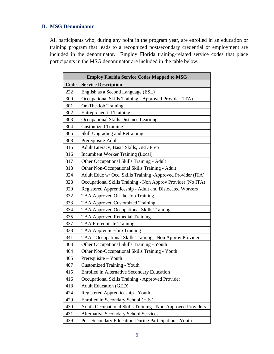### <span id="page-5-0"></span>**B. MSG Denominator**

All participants who, during any point in the program year, are enrolled in an education or training program that leads to a recognized postsecondary credential or employment are included in the denominator. Employ Florida training-related service codes that place participants in the MSG denominator are included in the table below.

| <b>Employ Florida Service Codes Mapped to MSG</b> |                                                             |  |  |  |  |
|---------------------------------------------------|-------------------------------------------------------------|--|--|--|--|
| Code<br><b>Service Description</b>                |                                                             |  |  |  |  |
| 222                                               | English as a Second Language (ESL)                          |  |  |  |  |
| 300                                               | Occupational Skills Training - Approved Provider (ITA)      |  |  |  |  |
| 301                                               | On-The-Job Training                                         |  |  |  |  |
| 302                                               | <b>Entrepreneurial Training</b>                             |  |  |  |  |
| 303                                               | Occupational Skills Distance Learning                       |  |  |  |  |
| 304                                               | <b>Customized Training</b>                                  |  |  |  |  |
| 305                                               | Skill Upgrading and Retraining                              |  |  |  |  |
| 308                                               | Prerequisite-Adult                                          |  |  |  |  |
| 315                                               | Adult Literacy, Basic Skills, GED Prep                      |  |  |  |  |
| 316                                               | Incumbent Worker Training (Local)                           |  |  |  |  |
| 317                                               | Other Occupational Skills Training - Adult                  |  |  |  |  |
| 318                                               | Other Non-Occupational Skills Training - Adult              |  |  |  |  |
| 324                                               | Adult Educ w/ Occ. Skills Training -Approved Provider (ITA) |  |  |  |  |
| 328                                               | Occupational Skills Training - Non Approv Provider (No ITA) |  |  |  |  |
| 329                                               | Registered Apprenticeship - Adult and Dislocated Workers    |  |  |  |  |
| 332                                               | TAA Approved On-the-Job Training                            |  |  |  |  |
| 333                                               | <b>TAA Approved Customized Training</b>                     |  |  |  |  |
| 334                                               | TAA Approved Occupational Skills Training                   |  |  |  |  |
| 335                                               | TAA Approved Remedial Training                              |  |  |  |  |
| 337                                               | <b>TAA Prerequisite Training</b>                            |  |  |  |  |
| 338                                               | <b>TAA Apprenticeship Training</b>                          |  |  |  |  |
| 341                                               | TAA - Occupational Skills Training - Non Approv Provider    |  |  |  |  |
| 403                                               | Other Occupational Skills Training - Youth                  |  |  |  |  |
| 404                                               | Other Non-Occupational Skills Training - Youth              |  |  |  |  |
| 405                                               | Prerequisite – Youth                                        |  |  |  |  |
| 407                                               | <b>Customized Training - Youth</b>                          |  |  |  |  |
| 415                                               | <b>Enrolled in Alternative Secondary Education</b>          |  |  |  |  |
| 416                                               | Occupational Skills Training - Approved Provider            |  |  |  |  |
| 418                                               | <b>Adult Education (GED)</b>                                |  |  |  |  |
| 424                                               | Registered Apprenticeship - Youth                           |  |  |  |  |
| 429                                               | Enrolled in Secondary School (H.S.)                         |  |  |  |  |
| 430                                               | Youth Occupational Skills Training - Non-Approved Providers |  |  |  |  |
| 431                                               | <b>Alternative Secondary School Services</b>                |  |  |  |  |
| 439                                               | Post-Secondary Education-During Participation - Youth       |  |  |  |  |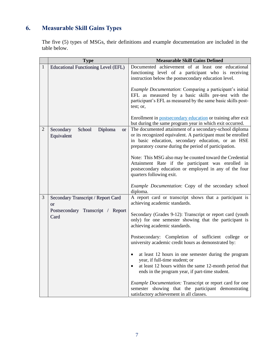# <span id="page-6-0"></span>**6. Measurable Skill Gains Types**

The five (5) types of MSGs, their definitions and example documentation are included in the table below.

|                | <b>Type</b>                                               | <b>Measurable Skill Gains Defined</b>                                                                                                                                                                                                   |
|----------------|-----------------------------------------------------------|-----------------------------------------------------------------------------------------------------------------------------------------------------------------------------------------------------------------------------------------|
| $\mathbf{1}$   | <b>Educational Functioning Level (EFL)</b>                | Documented achievement of at least one educational<br>functioning level of a participant who is receiving<br>instruction below the postsecondary education level.                                                                       |
|                |                                                           | <i>Example Documentation:</i> Comparing a participant's initial<br>EFL as measured by a basic skills pre-test with the<br>participant's EFL as measured by the same basic skills post-<br>test; or,                                     |
|                |                                                           | Enrollment in postsecondary education or training after exit<br>but during the same program year in which exit occurred.                                                                                                                |
| $\overline{2}$ | School<br>Diploma<br>Secondary<br><b>or</b><br>Equivalent | The documented attainment of a secondary-school diploma<br>or its recognized equivalent. A participant must be enrolled<br>in basic education, secondary education, or an HSE<br>preparatory course during the period of participation. |
|                |                                                           | Note: This MSG also may be counted toward the Credential<br>Attainment Rate if the participant was enrolled in<br>postsecondary education or employed in any of the four<br>quarters following exit.                                    |
|                |                                                           | <i>Example Documentation:</i> Copy of the secondary school<br>diploma.                                                                                                                                                                  |
| 3              | Secondary Transcript / Report Card<br><b>or</b>           | A report card or transcript shows that a participant is<br>achieving academic standards.                                                                                                                                                |
|                | Postsecondary Transcript / Report<br>Card                 | Secondary (Grades 9-12): Transcript or report card (youth<br>only) for one semester showing that the participant is<br>achieving academic standards.                                                                                    |
|                |                                                           | Postsecondary: Completion of sufficient college<br><sub>or</sub><br>university academic credit hours as demonstrated by:                                                                                                                |
|                |                                                           | at least 12 hours in one semester during the program<br>٠<br>year, if full-time student; or<br>at least 12 hours within the same 12-month period that<br>$\bullet$<br>ends in the program year, if part-time student.                   |
|                |                                                           | <i>Example Documentation:</i> Transcript or report card for one<br>semester showing that the participant demonstrating<br>satisfactory achievement in all classes.                                                                      |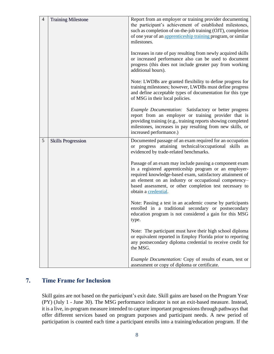| $\overline{4}$ | <b>Training Milestone</b> | Report from an employer or training provider documenting<br>the participant's achievement of established milestones,<br>such as completion of on-the-job training (OJT), completion<br>of one year of an apprenticeship training program, or similar<br>milestones.                                                        |
|----------------|---------------------------|----------------------------------------------------------------------------------------------------------------------------------------------------------------------------------------------------------------------------------------------------------------------------------------------------------------------------|
|                |                           | Increases in rate of pay resulting from newly acquired skills<br>or increased performance also can be used to document<br>progress (this does not include greater pay from working<br>additional hours).                                                                                                                   |
|                |                           | Note: LWDBs are granted flexibility to define progress for<br>training milestones; however, LWDBs must define progress<br>and define acceptable types of documentation for this type<br>of MSG in their local policies.                                                                                                    |
|                |                           | Example Documentation: Satisfactory or better progress<br>report from an employer or training provider that is<br>providing training (e.g., training reports showing completed<br>milestones, increases in pay resulting from new skills, or<br>increased performance.)                                                    |
| 5              | <b>Skills Progression</b> | Documented passage of an exam required for an occupation<br>or progress attaining technical/occupational skills as<br>evidenced by trade-related benchmarks.                                                                                                                                                               |
|                |                           | Passage of an exam may include passing a component exam<br>in a registered apprenticeship program or an employer-<br>required knowledge-based exam, satisfactory attainment of<br>an element on an industry or occupational competency-<br>based assessment, or other completion test necessary to<br>obtain a credential. |
|                |                           | Note: Passing a test in an academic course by participants<br>enrolled in a traditional secondary or postsecondary<br>education program is not considered a gain for this MSG<br>type.                                                                                                                                     |
|                |                           | Note: The participant must have their high school diploma<br>or equivalent reported in Employ Florida prior to reporting<br>any postsecondary diploma credential to receive credit for<br>the MSG.                                                                                                                         |
|                |                           | Example Documentation: Copy of results of exam, test or<br>assessment or copy of diploma or certificate.                                                                                                                                                                                                                   |

## <span id="page-7-0"></span>**7. Time Frame for Inclusion**

Skill gains are not based on the participant's exit date. Skill gains are based on the Program Year (PY) (July 1 - June 30). The MSG performance indicator is not an exit-based measure. Instead, it is a live, in-program measure intended to capture important progressions through pathways that offer different services based on program purposes and participant needs. A new period of participation is counted each time a participant enrolls into a training/education program. If the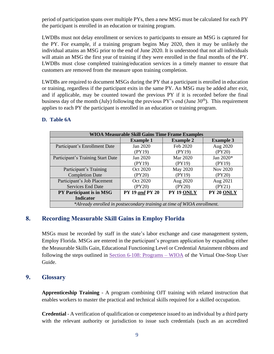period of participation spans over multiple PYs, then a new MSG must be calculated for each PY the participant is enrolled in an education or training program.

LWDBs must not delay enrollment or services to participants to ensure an MSG is captured for the PY. For example, if a training program begins May 2020, then it may be unlikely the individual attains an MSG prior to the end of June 2020. It is understood that not all individuals will attain an MSG the first year of training if they were enrolled in the final months of the PY. LWDBs must close completed training/education services in a timely manner to ensure that customers are removed from the measure upon training completion.

LWDBs are required to document MSGs during the PY that a participant is enrolled in education or training, regardless if the participant exits in the same PY. An MSG may be added after exit, and if applicable, may be counted toward the previous PY if it is recorded before the final business day of the month (July) following the previous  $PY$ 's end (June  $30<sup>th</sup>$ ). This requirement applies to each PY the participant is enrolled in an education or training program.

| <b>WIOA Measurable Skill Gains Time Frame Examples</b>                  |                        |                  |                  |  |  |  |
|-------------------------------------------------------------------------|------------------------|------------------|------------------|--|--|--|
|                                                                         | <b>Example 1</b>       | <b>Example 2</b> | <b>Example 3</b> |  |  |  |
| Participant's Enrollment Date                                           | Jan 2020               | Feb 2020         | Aug 2020         |  |  |  |
|                                                                         | (PY19)                 | (PY19)           | (PY20)           |  |  |  |
| Participant's Training Start Date                                       | Jan 2020               | Mar 2020         | Jan 2020*        |  |  |  |
|                                                                         | (PY19)                 | (PY19)           | (PY19)           |  |  |  |
| Participant's Training                                                  | Oct 2020               | May 2020         | Nov 2020         |  |  |  |
| <b>Completion Date</b>                                                  | (PY20)                 | (PY19)           | (PY20)           |  |  |  |
| Participant's Job Placement                                             | Oct 2020               | Aug 2020         | Aug 2021         |  |  |  |
| <b>Services End Date</b>                                                | (PY20)                 | (PY20)           | (PY21)           |  |  |  |
| <b>PY Participant is in MSG</b>                                         | <b>PY 19 and PY 20</b> | PY 19 ONLY       | PY 20 ONLY       |  |  |  |
| <b>Indicator</b>                                                        |                        |                  |                  |  |  |  |
| *Already enrolled in postsecondary training at time of WIOA enrollment. |                        |                  |                  |  |  |  |

#### **D. Table 6A**

## <span id="page-8-0"></span>**8. Recording Measurable Skill Gains in Employ Florida**

MSGs must be recorded by staff in the state's labor exchange and case management system, Employ Florida. MSGs are entered in the participant's program application by expanding either the Measurable Skills Gain, Educational Functioning Level or Credential Attainment ribbons and following the steps outlined in [Section 6-108: Programs –](https://www.employflorida.com/admin/gsipub/htmlarea/uploads/Staff%20Guide_06_Programs_WIOA.pdf) WIOA of the Virtual One-Stop User Guide.

## <span id="page-8-2"></span><span id="page-8-1"></span>**9. Glossary**

**Apprenticeship Training** - A program combining OJT training with related instruction that enables workers to master the practical and technical skills required for a skilled occupation.

<span id="page-8-3"></span>**Credential** - A verification of qualification or competence issued to an individual by a third party with the relevant authority or jurisdiction to issue such credentials (such as an accredited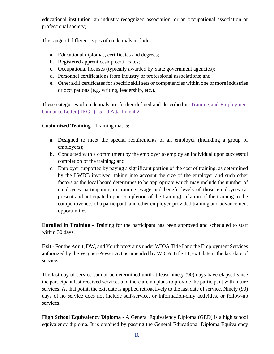educational institution, an industry recognized association, or an occupational association or professional society).

The range of different types of credentials includes:

- a. Educational diplomas, certificates and degrees;
- b. Registered apprenticeship certificates;
- c. Occupational licenses (typically awarded by State government agencies);
- d. Personnel certifications from industry or professional associations; and
- e. Other skill certificates for specific skill sets or competencies within one or more industries or occupations (e.g. writing, leadership, etc.).

These categories of credentials are further defined and described in Training and Employment [Guidance Letter \(TEGL\)](https://wdr.doleta.gov/directives/attach/TEGL15-10a2.pdf) 15-10 Attachment 2.

### <span id="page-9-3"></span>**Customized Training** - Training that is:

- a. Designed to meet the special requirements of an employer (including a group of employers);
- b. Conducted with a commitment by the employer to employ an individual upon successful completion of the training; and
- c. Employer supported by paying a significant portion of the cost of training, as determined by the LWDB involved, taking into account the size of the employer and such other factors as the local board determines to be appropriate which may include the number of employees participating in training, wage and benefit levels of those employees (at present and anticipated upon completion of the training), relation of the training to the competitiveness of a participant, and other employer-provided training and advancement opportunities.

<span id="page-9-1"></span>**Enrolled in Training** - Training for the participant has been approved and scheduled to start within 30 days.

<span id="page-9-0"></span>**Exit** - For the Adult, DW, and Youth programs under WIOA Title I and the Employment Services authorized by the Wagner-Peyser Act as amended by WIOA Title III, exit date is the last date of service.

The last day of service cannot be determined until at least ninety (90) days have elapsed since the participant last received services and there are no plans to provide the participant with future services. At that point, the exit date is applied retroactively to the last date of service. Ninety (90) days of no service does not include self-service, or information-only activities, or follow-up services.

<span id="page-9-2"></span>**High School Equivalency Diploma** - A General Equivalency Diploma (GED) is a high school equivalency diploma. It is obtained by passing the General Educational Diploma Equivalency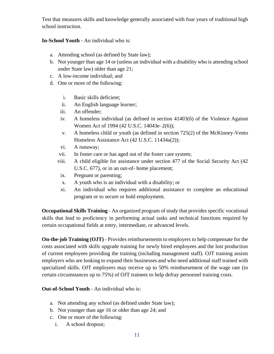Test that measures skills and knowledge generally associated with four years of traditional high school instruction.

### <span id="page-10-1"></span>**In-School Youth** - An individual who is:

- a. Attending school (as defined by State law);
- b. Not younger than age 14 or (unless an individual with a disability who is attending school under State law) older than age 21;
- c. A low-income individual; and
- d. One or more of the following:
	- i. Basic skills deficient;
	- ii. An English language learner;
	- iii. An offender;
	- iv. A homeless individual (as defined in section 41403(6) of the Violence Against Women Act of 1994 (42 U.S.C. 14043e–2(6));
	- v. A homeless child or youth (as defined in section 725(2) of the McKinney-Vento Homeless Assistance Act (42 U.S.C. 11434a(2));
	- vi. A runaway;
	- vii. In foster care or has aged out of the foster care system;
	- viii. A child eligible for assistance under section 477 of the Social Security Act (42 U.S.C. 677), or in an out-of- home placement;
	- ix. Pregnant or parenting;
	- x. A youth who is an individual with a disability; or
	- xi. An individual who requires additional assistance to complete an educational program or to secure or hold employment.

<span id="page-10-3"></span>**Occupational Skills Training** - An organized program of study that provides specific vocational skills that lead to proficiency in performing actual tasks and technical functions required by certain occupational fields at entry, intermediate, or advanced levels.

<span id="page-10-0"></span>**On-the-job Training (OJT)** - Provides reimbursements to employers to help compensate for the costs associated with skills upgrade training for newly hired employees and the lost production of current employees providing the training (including management staff). OJT training assists employers who are looking to expand their businesses and who need additional staff trained with specialized skills. OJT employers may receive up to 50% reimbursement of the wage rate (in certain circumstances up to 75%) of OJT trainees to help defray personnel training costs.

### <span id="page-10-2"></span>**Out-of-School Youth** - An individual who is:

- a. Not attending any school (as defined under State law);
- b. Not younger than age 16 or older than age 24; and
- c. One or more of the following:
	- i. A school dropout;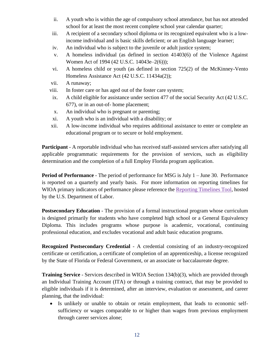- ii. A youth who is within the age of compulsory school attendance, but has not attended school for at least the most recent complete school year calendar quarter;
- iii. A recipient of a secondary school diploma or its recognized equivalent who is a lowincome individual and is basic skills deficient; or an English language learner;
- iv. An individual who is subject to the juvenile or adult justice system;
- v. A homeless individual (as defined in section 41403(6) of the Violence Against Women Act of 1994 (42 U.S.C. 14043e–2(6)));
- vi. A homeless child or youth (as defined in section 725(2) of the McKinney-Vento Homeless Assistance Act (42 U.S.C. 11434a(2));
- vii. A runaway;
- viii. In foster care or has aged out of the foster care system;
- ix. A child eligible for assistance under section 477 of the social Security Act (42 U.S.C. 677), or in an out-of- home placement;
- x. An individual who is pregnant or parenting;
- xi. A youth who is an individual with a disability; or
- xii. A low-income individual who requires additional assistance to enter or complete an educational program or to secure or hold employment.

<span id="page-11-0"></span>**Participant** - A reportable individual who has received staff-assisted services after satisfying all applicable programmatic requirements for the provision of services, such as eligibility determination and the completion of a full Employ Florida program application.

<span id="page-11-3"></span>**Period of Performance** - The period of performance for MSG is July 1 – June 30. Performance is reported on a quarterly and yearly basis. For more information on reporting timelines for WIOA primary indicators of performance please reference the [Reporting Timelines Tool,](https://www.dol.gov/sites/dolgov/files/ETA/Performance/pdfs/PIRL_Reporting_Timelines.xlsx) hosted by the U.S. Department of Labor.

<span id="page-11-4"></span>**Postsecondary Education** - The provision of a formal instructional program whose curriculum is designed primarily for students who have completed high school or a General Equivalency Diploma. This includes programs whose purpose is academic, vocational, continuing professional education, and excludes vocational and adult basic education programs.

<span id="page-11-1"></span>**Recognized Postsecondary Credential** - A credential consisting of an industry-recognized certificate or certification, a certificate of completion of an apprenticeship, a license recognized by the State of Florida or Federal Government, or an associate or baccalaureate degree.

<span id="page-11-2"></span>**Training Service** - Services described in WIOA Section 134(b)(3), which are provided through an Individual Training Account (ITA) or through a training contract, that may be provided to eligible individuals if it is determined, after an interview, evaluation or assessment, and career planning, that the individual:

• Is unlikely or unable to obtain or retain employment, that leads to economic selfsufficiency or wages comparable to or higher than wages from previous employment through career services alone;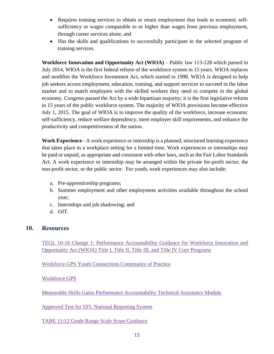- Requires training services to obtain or retain employment that leads to economic selfsufficiency or wages comparable to or higher than wages from previous employment, through career services alone; and
- Has the skills and qualifications to successfully participate in the selected program of training services.

<span id="page-12-1"></span>**Workforce Innovation and Opportunity Act (WIOA)** – Public law 113-128 which passed in July 2014, WIOA is the first federal reform of the workforce system in 15 years. WIOA replaces and modifies the Workforce Investment Act, which started in 1998. WIOA is designed to help job seekers access employment, education, training, and support services to succeed in the labor market and to match employers with the skilled workers they need to compete in the global economy. Congress passed the Act by a wide bipartisan majority; it is the first legislative reform in 15 years of the public workforce system. The majority of WIOA provisions become effective July 1, 2015. The goal of WIOA is to improve the quality of the workforce, increase economic self-sufficiency, reduce welfare dependency, meet employer skill requirements, and enhance the productivity and competitiveness of the nation.

<span id="page-12-2"></span>**Work Experience** - A work experience or internship is a planned, structured learning experience that takes place in a workplace setting for a limited time. Work experiences or internships may be paid or unpaid, as appropriate and consistent with other laws, such as the Fair Labor Standards Act. A work experience or internship may be arranged within the private for-profit sector, the non-profit sector, or the public sector. For youth, work experiences may also include:

- a. Pre-apprenticeship programs;
- b. Summer employment and other employment activities available throughout the school year;
- c. Internships and job shadowing; and
- d. OJT.

### <span id="page-12-0"></span>**10. Resources**

TEGL 10-16 Change 1: [Performance Accountability Guidance for Workforce Innovation and](https://wdr.doleta.gov/directives/corr_doc.cfm?DOCN=3255)  [Opportunity Act \(WIOA\) Title I, Title II, Title III, and Title IV Core Programs](https://wdr.doleta.gov/directives/corr_doc.cfm?DOCN=3255)

[Workforce GPS Youth Connections Community of Practice](https://youth.workforcegps.org/)

[Workforce GPS](https://www.workforcegps.org/)

Measurable Skills Gains Performance [Accountability Technical Assistance Module](https://performancereporting.workforcegps.org/MediaFiles/ws/performancereporting/Folders/%7BBE3097AE-AC83-4E4A-9145-2E5DFE9B93E4%7D/637019963033576068/index.html#/)

[Approved Test for EFL National Reporting System](http://www.nrsweb.org/)

[TABE 11/12 Grade Range Scale Score Guidance](https://tabetest.com/PDFs/TABE_GradeRange.pdf)